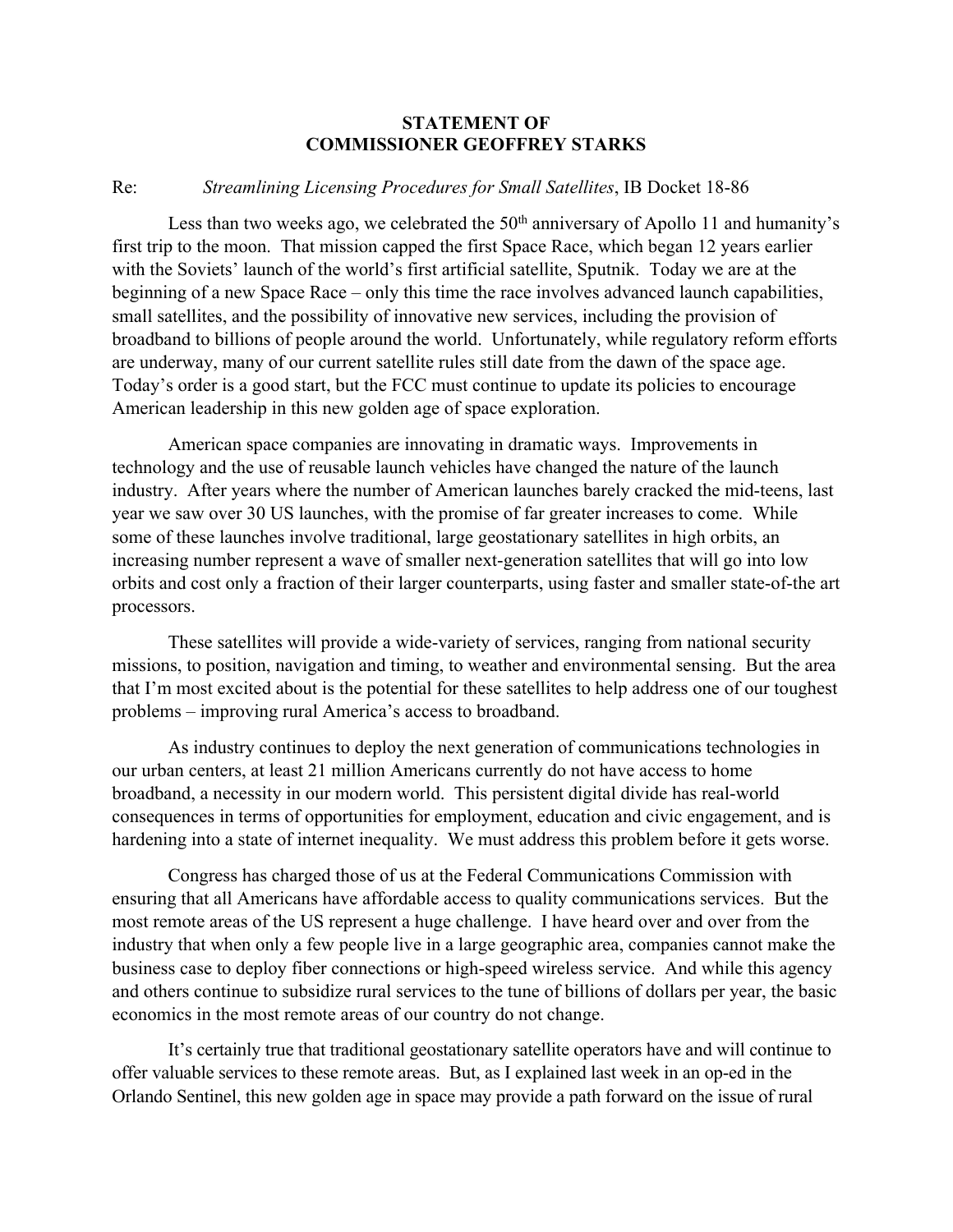## **STATEMENT OF COMMISSIONER GEOFFREY STARKS**

## Re: *Streamlining Licensing Procedures for Small Satellites*, IB Docket 18-86

Less than two weeks ago, we celebrated the  $50<sup>th</sup>$  anniversary of Apollo 11 and humanity's first trip to the moon. That mission capped the first Space Race, which began 12 years earlier with the Soviets' launch of the world's first artificial satellite, Sputnik. Today we are at the beginning of a new Space Race – only this time the race involves advanced launch capabilities, small satellites, and the possibility of innovative new services, including the provision of broadband to billions of people around the world. Unfortunately, while regulatory reform efforts are underway, many of our current satellite rules still date from the dawn of the space age. Today's order is a good start, but the FCC must continue to update its policies to encourage American leadership in this new golden age of space exploration.

American space companies are innovating in dramatic ways. Improvements in technology and the use of reusable launch vehicles have changed the nature of the launch industry. After years where the number of American launches barely cracked the mid-teens, last year we saw over 30 US launches, with the promise of far greater increases to come. While some of these launches involve traditional, large geostationary satellites in high orbits, an increasing number represent a wave of smaller next-generation satellites that will go into low orbits and cost only a fraction of their larger counterparts, using faster and smaller state-of-the art processors.

These satellites will provide a wide-variety of services, ranging from national security missions, to position, navigation and timing, to weather and environmental sensing. But the area that I'm most excited about is the potential for these satellites to help address one of our toughest problems – improving rural America's access to broadband.

As industry continues to deploy the next generation of communications technologies in our urban centers, at least 21 million Americans currently do not have access to home broadband, a necessity in our modern world. This persistent digital divide has real-world consequences in terms of opportunities for employment, education and civic engagement, and is hardening into a state of internet inequality. We must address this problem before it gets worse.

Congress has charged those of us at the Federal Communications Commission with ensuring that all Americans have affordable access to quality communications services. But the most remote areas of the US represent a huge challenge. I have heard over and over from the industry that when only a few people live in a large geographic area, companies cannot make the business case to deploy fiber connections or high-speed wireless service. And while this agency and others continue to subsidize rural services to the tune of billions of dollars per year, the basic economics in the most remote areas of our country do not change.

It's certainly true that traditional geostationary satellite operators have and will continue to offer valuable services to these remote areas. But, as I explained last week in an op-ed in the Orlando Sentinel, this new golden age in space may provide a path forward on the issue of rural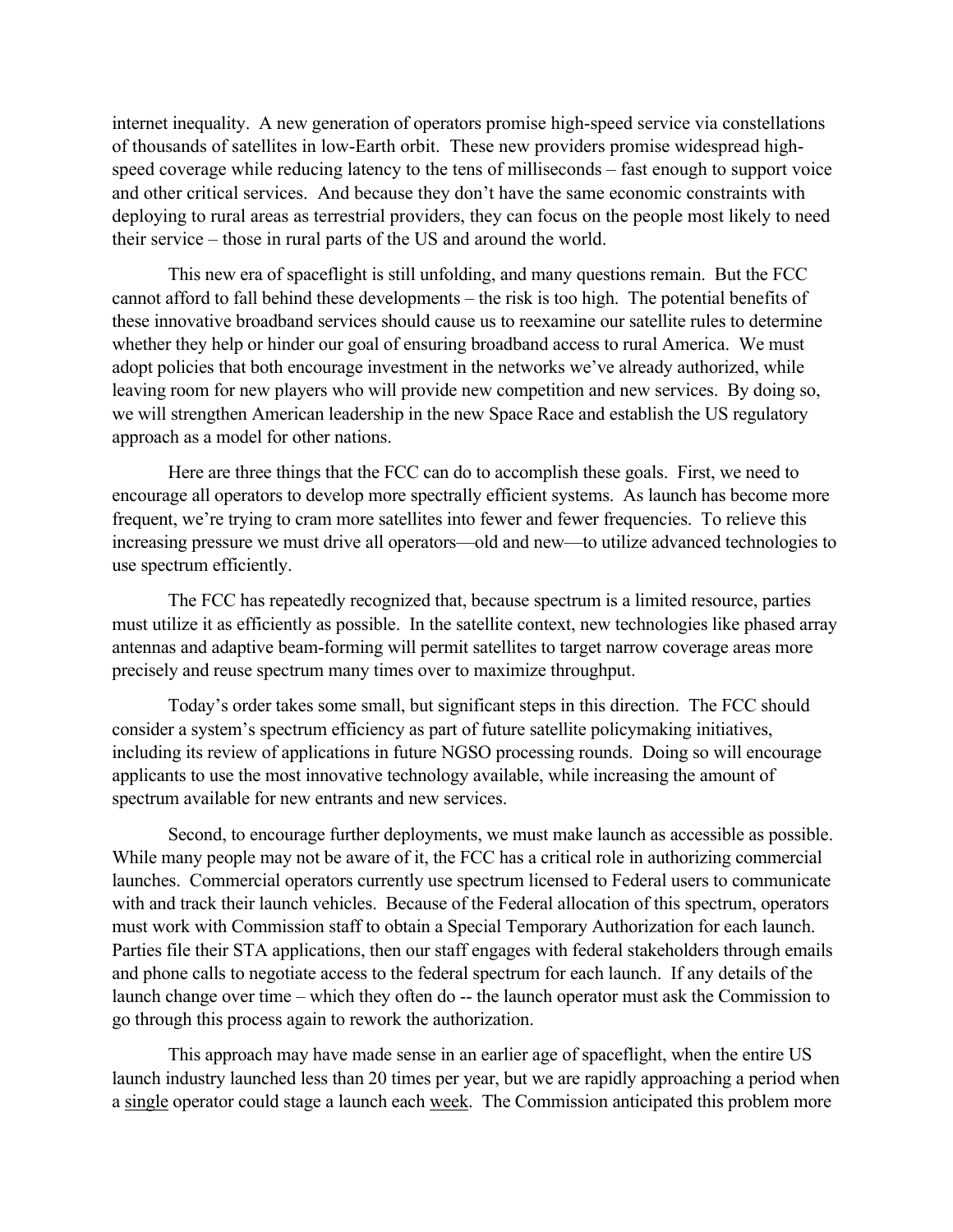internet inequality. A new generation of operators promise high-speed service via constellations of thousands of satellites in low-Earth orbit. These new providers promise widespread highspeed coverage while reducing latency to the tens of milliseconds – fast enough to support voice and other critical services. And because they don't have the same economic constraints with deploying to rural areas as terrestrial providers, they can focus on the people most likely to need their service – those in rural parts of the US and around the world.

This new era of spaceflight is still unfolding, and many questions remain. But the FCC cannot afford to fall behind these developments – the risk is too high. The potential benefits of these innovative broadband services should cause us to reexamine our satellite rules to determine whether they help or hinder our goal of ensuring broadband access to rural America. We must adopt policies that both encourage investment in the networks we've already authorized, while leaving room for new players who will provide new competition and new services. By doing so, we will strengthen American leadership in the new Space Race and establish the US regulatory approach as a model for other nations.

Here are three things that the FCC can do to accomplish these goals. First, we need to encourage all operators to develop more spectrally efficient systems. As launch has become more frequent, we're trying to cram more satellites into fewer and fewer frequencies. To relieve this increasing pressure we must drive all operators—old and new—to utilize advanced technologies to use spectrum efficiently.

The FCC has repeatedly recognized that, because spectrum is a limited resource, parties must utilize it as efficiently as possible. In the satellite context, new technologies like phased array antennas and adaptive beam-forming will permit satellites to target narrow coverage areas more precisely and reuse spectrum many times over to maximize throughput.

Today's order takes some small, but significant steps in this direction. The FCC should consider a system's spectrum efficiency as part of future satellite policymaking initiatives, including its review of applications in future NGSO processing rounds. Doing so will encourage applicants to use the most innovative technology available, while increasing the amount of spectrum available for new entrants and new services.

Second, to encourage further deployments, we must make launch as accessible as possible. While many people may not be aware of it, the FCC has a critical role in authorizing commercial launches. Commercial operators currently use spectrum licensed to Federal users to communicate with and track their launch vehicles. Because of the Federal allocation of this spectrum, operators must work with Commission staff to obtain a Special Temporary Authorization for each launch. Parties file their STA applications, then our staff engages with federal stakeholders through emails and phone calls to negotiate access to the federal spectrum for each launch. If any details of the launch change over time – which they often do -- the launch operator must ask the Commission to go through this process again to rework the authorization.

This approach may have made sense in an earlier age of spaceflight, when the entire US launch industry launched less than 20 times per year, but we are rapidly approaching a period when a single operator could stage a launch each week. The Commission anticipated this problem more